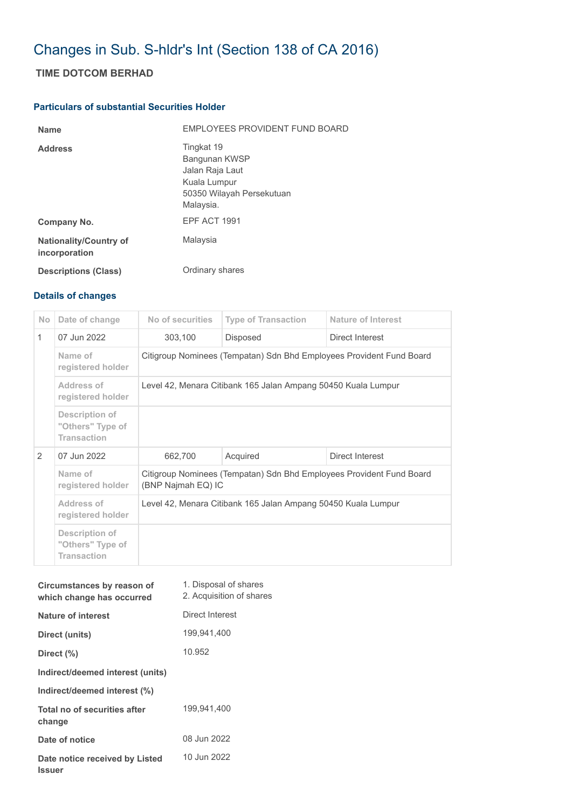## Changes in Sub. S-hldr's Int (Section 138 of CA 2016)

## **TIME DOTCOM BERHAD**

## **Particulars of substantial Securities Holder**

| <b>Name</b>                                    | EMPLOYEES PROVIDENT FUND BOARD                                                                           |
|------------------------------------------------|----------------------------------------------------------------------------------------------------------|
| <b>Address</b>                                 | Tingkat 19<br>Bangunan KWSP<br>Jalan Raja Laut<br>Kuala Lumpur<br>50350 Wilayah Persekutuan<br>Malaysia. |
| Company No.                                    | EPF ACT 1991                                                                                             |
| <b>Nationality/Country of</b><br>incorporation | Malaysia                                                                                                 |
| <b>Descriptions (Class)</b>                    | Ordinary shares                                                                                          |

## **Details of changes**

| No.          | Date of change                                           | No of securities                                                                           | <b>Type of Transaction</b> | Nature of Interest |  |  |
|--------------|----------------------------------------------------------|--------------------------------------------------------------------------------------------|----------------------------|--------------------|--|--|
| $\mathbf{1}$ | 07 Jun 2022                                              | 303,100                                                                                    | <b>Disposed</b>            | Direct Interest    |  |  |
|              | Name of<br>registered holder                             | Citigroup Nominees (Tempatan) Sdn Bhd Employees Provident Fund Board                       |                            |                    |  |  |
|              | Address of<br>registered holder                          | Level 42, Menara Citibank 165 Jalan Ampang 50450 Kuala Lumpur                              |                            |                    |  |  |
|              | Description of<br>"Others" Type of<br><b>Transaction</b> |                                                                                            |                            |                    |  |  |
| 2            | 07 Jun 2022                                              | 662,700                                                                                    | Acquired                   | Direct Interest    |  |  |
|              | Name of<br>registered holder                             | Citigroup Nominees (Tempatan) Sdn Bhd Employees Provident Fund Board<br>(BNP Najmah EQ) IC |                            |                    |  |  |
|              | Address of<br>registered holder                          | Level 42, Menara Citibank 165 Jalan Ampang 50450 Kuala Lumpur                              |                            |                    |  |  |
|              | Description of<br>"Others" Type of<br><b>Transaction</b> |                                                                                            |                            |                    |  |  |

| Circumstances by reason of<br>which change has occurred | 1. Disposal of shares<br>2. Acquisition of shares |
|---------------------------------------------------------|---------------------------------------------------|
| Nature of interest                                      | Direct Interest                                   |
| Direct (units)                                          | 199,941,400                                       |
| Direct (%)                                              | 10.952                                            |
| Indirect/deemed interest (units)                        |                                                   |
| Indirect/deemed interest (%)                            |                                                   |
| Total no of securities after<br>change                  | 199.941.400                                       |
| Date of notice                                          | 08 Jun 2022                                       |
| Date notice received by Listed<br><b>Issuer</b>         | 10 Jun 2022                                       |